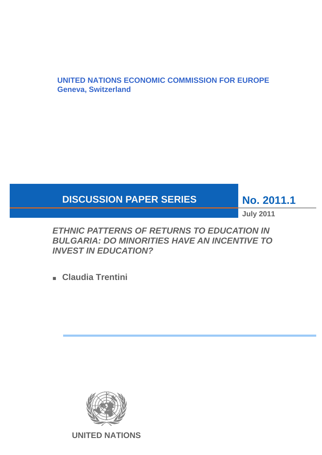# **UNITED NATIONS ECONOMIC COMMISSION FOR EUROPE Geneva, Switzerland**

# **DISCUSSION PAPER SERIES**

**No. 2011.1** 

**July 2011** 

*ETHNIC PATTERNS OF RETURNS TO EDUCATION IN BULGARIA: DO MINORITIES HAVE AN INCENTIVE TO INVEST IN EDUCATION?* 

■ **Claudia Trentini** 

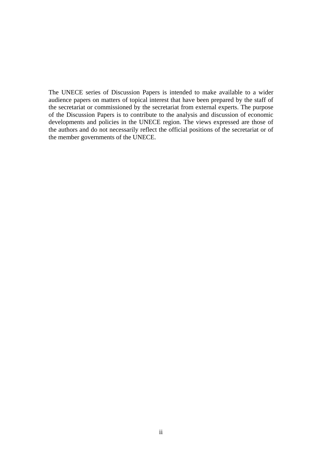The UNECE series of Discussion Papers is intended to make available to a wider audience papers on matters of topical interest that have been prepared by the staff of the secretariat or commissioned by the secretariat from external experts. The purpose of the Discussion Papers is to contribute to the analysis and discussion of economic developments and policies in the UNECE region. The views expressed are those of the authors and do not necessarily reflect the official positions of the secretariat or of the member governments of the UNECE.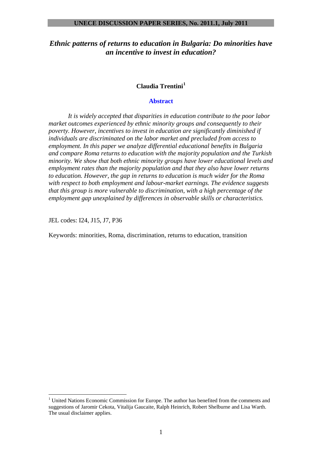# **Claudia Trentini[1](#page-2-0)**

#### **Abstract**

*It is widely accepted that disparities in education contribute to the poor labor market outcomes experienced by ethnic minority groups and consequently to their poverty. However, incentives to invest in education are significantly diminished if individuals are discriminated on the labor market and precluded from access to employment. In this paper we analyze differential educational benefits in Bulgaria and compare Roma returns to education with the majority population and the Turkish minority. We show that both ethnic minority groups have lower educational levels and employment rates than the majority population and that they also have lower returns to education. However, the gap in returns to education is much wider for the Roma with respect to both employment and labour-market earnings. The evidence suggests that this group is more vulnerable to discrimination, with a high percentage of the employment gap unexplained by differences in observable skills or characteristics.* 

JEL codes: I24, J15, J7, P36

 $\overline{a}$ 

Keywords: minorities, Roma, discrimination, returns to education, transition

<span id="page-2-0"></span><sup>&</sup>lt;sup>1</sup> United Nations Economic Commission for Europe. The author has benefited from the comments and suggestions of Jaromir Cekota, Vitalija Gaucaite, Ralph Heinrich, Robert Shelburne and Lisa Warth. The usual disclaimer applies.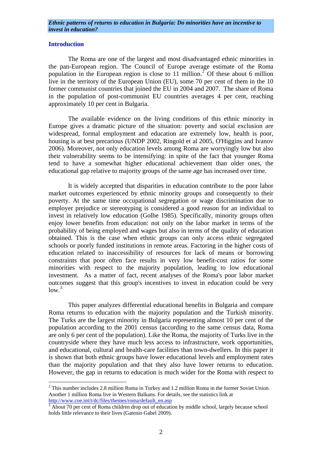# **Introduction**

 $\overline{a}$ 

 The Roma are one of the largest and most disadvantaged ethnic minorities in the pan-European region. The Council of Europe average estimate of the Roma population in the European region is close to 11 million.<sup>[2](#page-3-0)</sup> Of these about 6 million live in the territory of the European Union (EU), some 70 per cent of them in the 10 former communist countries that joined the EU in 2004 and 2007. The share of Roma in the population of post-communist EU countries averages 4 per cent, reaching approximately 10 per cent in Bulgaria.

 The available evidence on the living conditions of this ethnic minority in Europe gives a dramatic picture of the situation: poverty and social exclusion are widespread, formal employment and education are extremely low, health is poor, housing is at best precarious (UNDP 2002, Ringold et al 2005, O'Higgins and Ivanov 2006). Moreover, not only education levels among Roma are worryingly low but also their vulnerability seems to be intensifying: in spite of the fact that younger Roma tend to have a somewhat higher educational achievement than older ones, the educational gap relative to majority groups of the same age has increased over time.

 It is widely accepted that disparities in education contribute to the poor labor market outcomes experienced by ethnic minority groups and consequently to their poverty. At the same time occupational segregation or wage discrimination due to employer prejudice or stereotyping is considered a good reason for an individual to invest in relatively low education (Golbe 1985). Specifically, minority groups often enjoy lower benefits from education: not only on the labor market in terms of the probability of being employed and wages but also in terms of the quality of education obtained. This is the case when ethnic groups can only access ethnic segregated schools or poorly funded institutions in remote areas. Factoring in the higher costs of education related to inaccessibility of resources for lack of means or borrowing constraints that poor often face results in very low benefit-cost ratios for some minorities with respect to the majority population, leading to low educational investment. As a matter of fact, recent analyses of the Roma's poor labor market outcomes suggest that this group's incentives to invest in education could be very  $low.<sup>3</sup>$  $low.<sup>3</sup>$  $low.<sup>3</sup>$ 

 This paper analyzes differential educational benefits in Bulgaria and compare Roma returns to education with the majority population and the Turkish minority. The Turks are the largest minority in Bulgaria representing almost 10 per cent of the population according to the 2001 census (according to the same census data, Roma are only 6 per cent of the population). Like the Roma, the majority of Turks live in the countryside where they have much less access to infrastructure, work opportunities, and educational, cultural and health-care facilities than town-dwellers. In this paper it is shown that both ethnic groups have lower educational levels and employment rates than the majority population and that they also have lower returns to education. However, the gap in returns to education is much wider for the Roma with respect to

<span id="page-3-0"></span> $2$  This number includes 2.8 million Roma in Turkey and 1.2 million Roma in the former Soviet Union. Another 1 million Roma live in Western Balkans. For details, see the statistics link at [http://www.coe.int/t/dc/files/themes/roma/default\\_en.asp 3](http://www.coe.int/t/dc/files/themes/roma/default_en.asp)

<span id="page-3-1"></span> $3$  About 70 per cent of Roma children drop out of education by middle school, largely because school holds little relevance to their lives (Gatenio Gabel 2009).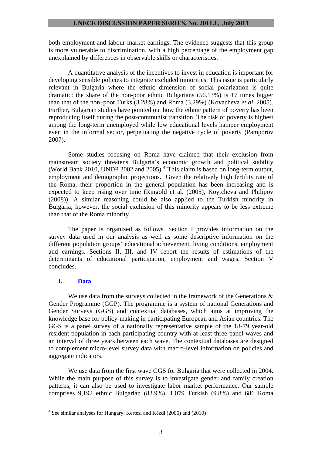both employment and labour-market earnings. The evidence suggests that this group is more vulnerable to discrimination, with a high percentage of the employment gap unexplained by differences in observable skills or characteristics.

 A quantitative analysis of the incentives to invest in education is important for developing sensible policies to integrate excluded minorities. This issue is particularly relevant in Bulgaria where the ethnic dimension of social polarization is quite dramatic: the share of the non-poor ethnic Bulgarians (56.13%) is 17 times bigger than that of the non–poor Turks (3.28%) and Roma (3.29%) (Kovacheva *et al*. 2005). Further, Bulgarian studies have pointed out how the ethnic pattern of poverty has been reproducing itself during the post-communist transition. The risk of poverty is highest among the long-term unemployed while low educational levels hamper employment even in the informal sector, perpetuating the negative cycle of poverty (Pamporov 2007).

 Some studies focusing on Roma have claimed that their exclusion from mainstream society threatens Bulgaria's economic growth and political stability (World Bank 2010, UNDP 2002 and 2005).<sup>[4](#page-4-0)</sup> This claim is based on long-term output, employment and demographic projections. Given the relatively high fertility rate of the Roma, their proportion in the general population has been increasing and is expected to keep rising over time (Ringold et al. (2005), Koytcheva and Philipov (2008)). A similar reasoning could be also applied to the Turkish minority in Bulgaria; however, the social exclusion of this minority appears to be less extreme than that of the Roma minority.

 The paper is organized as follows. Section I provides information on the survey data used in our analysis as well as some descriptive information on the different population groups' educational achievement, living conditions, employment and earnings. Sections II, III, and IV report the results of estimations of the determinants of educational participation, employment and wages. Section V concludes.

# **I. Data**

We use data from the surveys collected in the framework of the Generations  $\&$ Gender Programme (GGP). The programme is a system of national Generations and Gender Surveys (GGS) and contextual databases, which aims at improving the knowledge base for policy-making in participating European and Asian countries. The GGS is a panel survey of a nationally representative sample of the 18-79 year-old resident population in each participating country with at least three panel waves and an interval of three years between each wave. The contextual databases are designed to complement micro-level survey data with macro-level information on policies and aggregate indicators.

 We use data from the first wave GGS for Bulgaria that were collected in 2004. While the main purpose of this survey is to investigate gender and family creation patterns, it can also be used to investigate labor market performance. Our sample comprises 9,192 ethnic Bulgarian (83.9%), 1,079 Turkish (9.8%) and 686 Roma

<span id="page-4-0"></span> 4 See similar analyses for Hungary: Kertesi and Kézdi (2006) and (2010)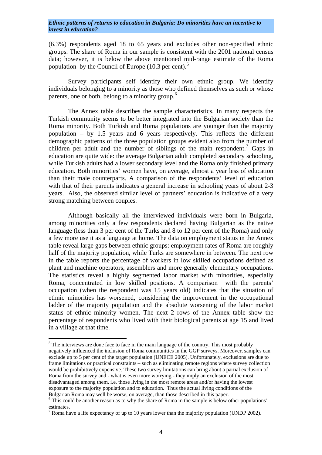(6.3%) respondents aged 18 to 65 years and excludes other non-specified ethnic groups. The share of Roma in our sample is consistent with the 2001 national census data; however, it is below the above mentioned mid-range estimate of the Roma population by the Council of Europe  $(10.3 \text{ per cent.})^5$  $(10.3 \text{ per cent.})^5$ 

 Survey participants self identify their own ethnic group. We identify individuals belonging to a minority as those who defined themselves as such or whose parents, one or both, belong to a minority group.<sup>[6](#page-5-1)</sup>

 The Annex table describes the sample characteristics. In many respects the Turkish community seems to be better integrated into the Bulgarian society than the Roma minority. Both Turkish and Roma populations are younger than the majority population – by 1.5 years and 6 years respectively. This reflects the different demographic patterns of the three population groups evident also from the number of children per adult and the number of siblings of the main respondent.<sup>[7](#page-5-2)</sup> Gaps in education are quite wide: the average Bulgarian adult completed secondary schooling, while Turkish adults had a lower secondary level and the Roma only finished primary education. Both minorities' women have, on average, almost a year less of education than their male counterparts. A comparison of the respondents' level of education with that of their parents indicates a general increase in schooling years of about 2-3 years. Also, the observed similar level of partners' education is indicative of a very strong matching between couples.

 Although basically all the interviewed individuals were born in Bulgaria, among minorities only a few respondents declared having Bulgarian as the native language (less than 3 per cent of the Turks and 8 to 12 per cent of the Roma) and only a few more use it as a language at home. The data on employment status in the Annex table reveal large gaps between ethnic groups: employment rates of Roma are roughly half of the majority population, while Turks are somewhere in between. The next row in the table reports the percentage of workers in low skilled occupations defined as plant and machine operators, assemblers and more generally elementary occupations. The statistics reveal a highly segmented labor market with minorities, especially Roma, concentrated in low skilled positions. A comparison with the parents' occupation (when the respondent was 15 years old) indicates that the situation of ethnic minorities has worsened, considering the improvement in the occupational ladder of the majority population and the absolute worsening of the labor market status of ethnic minority women. The next 2 rows of the Annex table show the percentage of respondents who lived with their biological parents at age 15 and lived in a village at that time.

<span id="page-5-0"></span> $<sup>5</sup>$  The interviews are done face to face in the main language of the country. This most probably</sup> negatively influenced the inclusion of Roma communities in the GGP surveys. Moreover, samples can exclude up to 5 per cent of the target population (UNECE 2005). Unfortunately, exclusions are due to frame limitations or practical constraints – such as eliminating remote regions where survey collection would be prohibitively expensive. These two survey limitations can bring about a partial exclusion of Roma from the survey and - what is even more worrying - they imply an exclusion of the most disadvantaged among them, i.e. those living in the most remote areas and/or having the lowest exposure to the majority population and to education. Thus the actual living conditions of the Bulgarian Roma may well be worse, on average, than those described in this paper.

<span id="page-5-1"></span><sup>&</sup>lt;sup>6</sup> This could be another reason as to why the share of Roma in the sample is below other populations' estimates.

<span id="page-5-2"></span><sup>&</sup>lt;sup>7</sup> Roma have a life expectancy of up to 10 years lower than the majority population (UNDP 2002).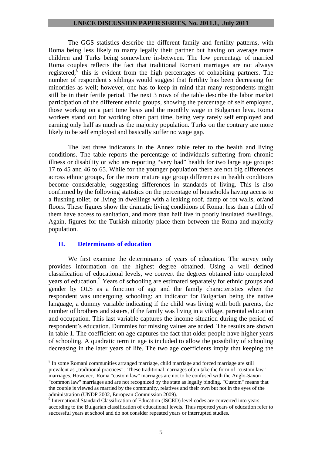The GGS statistics describe the different family and fertility patterns, with Roma being less likely to marry legally their partner but having on average more children and Turks being somewhere in-between. The low percentage of married Roma couples reflects the fact that traditional Romani marriages are not always registered;  $\delta$  this is evident from the high percentages of cohabiting partners. The number of respondent's siblings would suggest that fertility has been decreasing for minorities as well; however, one has to keep in mind that many respondents might still be in their fertile period. The next 3 rows of the table describe the labor market participation of the different ethnic groups, showing the percentage of self employed, those working on a part time basis and the monthly wage in Bulgarian leva. Roma workers stand out for working often part time, being very rarely self employed and earning only half as much as the majority population. Turks on the contrary are more likely to be self employed and basically suffer no wage gap.

 The last three indicators in the Annex table refer to the health and living conditions. The table reports the percentage of individuals suffering from chronic illness or disability or who are reporting "very bad" health for two large age groups: 17 to 45 and 46 to 65. While for the younger population there are not big differences across ethnic groups, for the more mature age group differences in health conditions become considerable, suggesting differences in standards of living. This is also confirmed by the following statistics on the percentage of households having access to a flushing toilet, or living in dwellings with a leaking roof, damp or rot walls, or/and floors. These figures show the dramatic living conditions of Roma: less than a fifth of them have access to sanitation, and more than half live in poorly insulated dwellings. Again, figures for the Turkish minority place them between the Roma and majority population.

# **II. Determinants of education**

 $\overline{a}$ 

 We first examine the determinants of years of education. The survey only provides information on the highest degree obtained. Using a well defined classification of educational levels, we convert the degrees obtained into completed years of education.<sup>[9](#page-6-1)</sup> Years of schooling are estimated separately for ethnic groups and gender by OLS as a function of age and the family characteristics when the respondent was undergoing schooling: an indicator for Bulgarian being the native language, a dummy variable indicating if the child was living with both parents, the number of brothers and sisters, if the family was living in a village, parental education and occupation. This last variable captures the income situation during the period of respondent's education. Dummies for missing values are added. The results are shown in table 1. The coefficient on age captures the fact that older people have higher years of schooling. A quadratic term in age is included to allow the possibility of schooling decreasing in the later years of life. The two age coefficients imply that keeping the

<span id="page-6-0"></span><sup>&</sup>lt;sup>8</sup> In some Romani communities arranged marriage, child marriage and forced marriage are still prevalent as "traditional practices". These traditional marriages often take the form of "custom law" marriages. However, Roma "custom law" marriages are not to be confused with the Anglo-Saxon "common law" marriages and are not recognized by the state as legally binding. "Custom" means that the couple is viewed as married by the community, relatives and their own but not in the eyes of the administration (UNDP 2002, European Commission 2009).

<span id="page-6-1"></span><sup>&</sup>lt;sup>9</sup> International Standard Classification of Education (ISCED) level codes are converted into years according to the Bulgarian classification of educational levels. Thus reported years of education refer to successful years at school and do not consider repeated years or interrupted studies.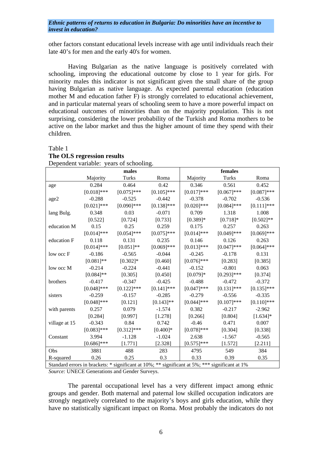other factors constant educational levels increase with age until individuals reach their late 40's for men and the early 40's for women.

 Having Bulgarian as the native language is positively correlated with schooling, improving the educational outcome by close to 1 year for girls. For minority males this indicator is not significant given the small share of the group having Bulgarian as native language. As expected parental education (education mother M and education father F) is strongly correlated to educational achievement, and in particular maternal years of schooling seem to have a more powerful impact on educational outcomes of minorities than on the majority population. This is not surprising, considering the lower probability of the Turkish and Roma mothers to be active on the labor market and thus the higher amount of time they spend with their children.

#### Table 1 **The OLS regression results** Dependent variable: years of schooling.

|               |               | males         |                                                                                                |               | females       |               |
|---------------|---------------|---------------|------------------------------------------------------------------------------------------------|---------------|---------------|---------------|
|               | Majority      | Turks         | Roma                                                                                           | Majority      | Turks         | Roma          |
| age           | 0.284         | 0.464         | 0.42                                                                                           | 0.346         | 0.561         | 0.452         |
|               | $[0.018]$ *** | $[0.075]$ *** | $[0.105]$ ***                                                                                  | $[0.017]$ *** | $[0.067]$ *** | $[0.087]$ *** |
| age2          | $-0.288$      | $-0.525$      | $-0.442$                                                                                       | $-0.378$      | $-0.702$      | $-0.536$      |
|               | $[0.021]$ *** | $[0.090]$ *** | $[0.138]$ ***                                                                                  | $[0.020]$ *** | $[0.084]$ *** | $[0.111]$ *** |
| lang Bulg.    | 0.348         | 0.03          | $-0.071$                                                                                       | 0.709         | 1.318         | 1.008         |
|               | [0.522]       | [0.724]       | [0.733]                                                                                        | $[0.389]$ *   | $[0.718]$ *   | $[0.502]$ **  |
| education M   | 0.15          | 0.25          | 0.259                                                                                          | 0.175         | 0.257         | 0.263         |
|               | $[0.014]$ *** | $[0.054]$ *** | $[0.075]$ ***                                                                                  | $[0.014]$ *** | $[0.049]$ *** | $[0.069]$ *** |
| education F   | 0.118         | 0.131         | 0.235                                                                                          | 0.146         | 0.126         | 0.263         |
|               | $[0.014]$ *** | $[0.051]$ **  | $[0.069]$ ***                                                                                  | $[0.013]***$  | $[0.047]$ *** | $[0.064]$ *** |
| low occ F     | $-0.186$      | $-0.565$      | $-0.044$                                                                                       | $-0.245$      | $-0.178$      | 0.131         |
|               | $[0.081]$ **  | $[0.302]*$    | [0.460]                                                                                        | $[0.076]$ *** | [0.283]       | [0.385]       |
| low occ M     | $-0.214$      | $-0.224$      | $-0.441$                                                                                       | $-0.152$      | $-0.801$      | 0.063         |
|               | $[0.084]$ **  | [0.305]       | [0.450]                                                                                        | $[0.079]$ *   | $[0.293]$ *** | [0.374]       |
| brothers      | $-0.417$      | $-0.347$      | $-0.425$                                                                                       | $-0.488$      | $-0.472$      | $-0.372$      |
|               | $[0.048]$ *** | $[0.122]$ *** | $[0.141]$ ***                                                                                  | $[0.047]$ *** | $[0.131]$ *** | $[0.135]$ *** |
| sisters       | $-0.259$      | $-0.157$      | $-0.285$                                                                                       | $-0.279$      | $-0.556$      | $-0.335$      |
|               | $[0.048]$ *** | [0.121]       | $[0.143]$ **                                                                                   | $[0.044]$ *** | $[0.107]$ *** | $[0.110]$ *** |
| with parents  | 0.257         | 0.079         | $-1.574$                                                                                       | 0.382         | $-0.217$      | $-2.962$      |
|               | [0.284]       | [0.997]       | [1.278]                                                                                        | [0.266]       | [0.804]       | $[1.634]$ *   |
| village at 15 | $-0.343$      | 0.84          | 0.742                                                                                          | $-0.46$       | 0.471         | 0.007         |
|               | $[0.083]$ *** | $[0.312]$ *** | $[0.400]$ *                                                                                    | $[0.078]$ *** | [0.304]       | [0.338]       |
| Constant      | 3.994         | $-1.128$      | $-1.024$                                                                                       | 2.638         | $-1.567$      | $-0.565$      |
|               | $[0.686]$ *** | [1.771]       | [2.328]                                                                                        | $[0.575]$ *** | [1.572]       | [2.211]       |
| Obs           | 3881          | 488           | 283                                                                                            | 4795          | 549           | 384           |
| R-squared     | 0.26          | 0.25          | 0.3                                                                                            | 0.33          | 0.39          | 0.35          |
|               |               |               | Standard errors in brackets: * significant at 10%; ** significant at 5%; *** significant at 1% |               |               |               |

*Source:* UNECE Generations and Gender Surveys.

 The parental occupational level has a very different impact among ethnic groups and gender. Both maternal and paternal low skilled occupation indicators are strongly negatively correlated to the majority's boys and girls education, while they have no statistically significant impact on Roma. Most probably the indicators do not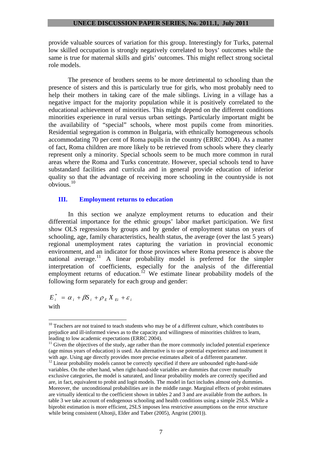provide valuable sources of variation for this group. Interestingly for Turks, paternal low skilled occupation is strongly negatively correlated to boys' outcomes while the same is true for maternal skills and girls' outcomes. This might reflect strong societal role models.

 The presence of brothers seems to be more detrimental to schooling than the presence of sisters and this is particularly true for girls, who most probably need to help their mothers in taking care of the male siblings. Living in a village has a negative impact for the majority population while it is positively correlated to the educational achievement of minorities. This might depend on the different conditions minorities experience in rural versus urban settings. Particularly important might be the availability of "special" schools, where most pupils come from minorities. Residential segregation is common in Bulgaria, with ethnically homogeneous schools accommodating 70 per cent of Roma pupils in the country (ERRC 2004). As a matter of fact, Roma children are more likely to be retrieved from schools where they clearly represent only a minority. Special schools seem to be much more common in rural areas where the Roma and Turks concentrate. However, special schools tend to have substandard facilities and curricula and in general provide education of inferior quality so that the advantage of receiving more schooling in the countryside is not obvious.[10](#page-8-0)

#### **III. Employment returns to education**

 In this section we analyze employment returns to education and their differential importance for the ethnic groups' labor market participation. We first show OLS regressions by groups and by gender of employment status on years of schooling, age, family characteristics, health status, the average (over the last 5 years) regional unemployment rates capturing the variation in provincial economic environment, and an indicator for those provinces where Roma presence is above the national average.<sup>[11](#page-8-1)</sup> A linear probability model is preferred for the simpler interpretation of coefficients, especially for the analysis of the differential employment returns of education.<sup>[12](#page-8-2)</sup> We estimate linear probability models of the following form separately for each group and gender:

 $E_i^* = \alpha_i + \beta S_i + \rho_E X_{E_i} + \varepsilon_i$ with

<span id="page-8-0"></span> $10$  Teachers are not trained to teach students who may be of a different culture, which contributes to prejudice and ill-informed views as to the capacity and willingness of minorities children to learn, leading to low academic expectations (ERRC 2004).

<span id="page-8-1"></span> $11$  Given the objectives of the study, age rather than the more commonly included potential experience (age minus years of education) is used. An alternative is to use potential experience and instrument it with age. Using age directly provides more precise estimates albeit of a different parameter.

<span id="page-8-2"></span> $12$  Linear probability models cannot be correctly specified if there are unbounded right-hand-side variables. On the other hand, when right-hand-side variables are dummies that cover mutually exclusive categories, the model is saturated, and linear probability models are correctly specified and are, in fact, equivalent to probit and logit models. The model in fact includes almost only dummies. Moreover, the unconditional probabilities are in the middle range. Marginal effects of probit estimates are virtually identical to the coefficient shown in tables 2 and 3 and are available from the authors. In table 3 we take account of endogenous schooling and health conditions using a simple 2SLS. While a biprobit estimation is more efficient, 2SLS imposes less restrictive assumptions on the error structure while being consistent (Altonji, Elder and Taber (2005), Angrist (2001)).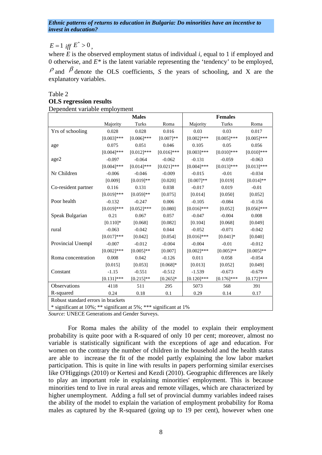# $E = 1$  *iff*  $E^* > 0$

where *E* is the observed employment status of individual *i*, equal to 1 if employed and 0 otherwise, and  $E^*$  is the latent variable representing the 'tendency' to be employed,  $\rho$  and  $\beta$  denote the OLS coefficients, *S* the years of schooling, and X are the explanatory variables.

# Table 2 **OLS regression results**  Dependent variable employment

|                                    |               | <b>Males</b>  |               |               | <b>Females</b> |               |
|------------------------------------|---------------|---------------|---------------|---------------|----------------|---------------|
|                                    | Majority      | Turks         | Roma          | Majority      | Turks          | Roma          |
| Yrs of schooling                   | 0.028         | 0.028         | 0.016         | 0.03          | 0.03           | 0.017         |
|                                    | $[0.003]$ *** | $[0.006]$ *** | $[0.007]**$   | $[0.002]$ *** | $[0.005]$ ***  | $[0.005]$ *** |
| age                                | 0.075         | 0.051         | 0.046         | 0.105         | 0.05           | 0.056         |
|                                    | $[0.004]$ *** | $[0.012]$ *** | $[0.016]$ *** | $[0.003]$ *** | $[0.010]$ ***  | $[0.010]$ *** |
| age2                               | $-0.097$      | $-0.064$      | $-0.062$      | $-0.131$      | $-0.059$       | $-0.063$      |
|                                    | $[0.004]$ *** | $[0.014]$ *** | $[0.021]$ *** | $[0.004]$ *** | $[0.013]***$   | $[0.013]***$  |
| Nr Children                        | $-0.006$      | $-0.046$      | $-0.009$      | $-0.015$      | $-0.01$        | $-0.034$      |
|                                    | [0.009]       | $[0.019]**$   | [0.020]       | $[0.007]**$   | [0.019]        | $[0.014]$ **  |
| Co-resident partner                | 0.116         | 0.131         | 0.038         | $-0.017$      | 0.019          | $-0.01$       |
|                                    | $[0.019]***$  | $[0.059]$ **  | [0.075]       | [0.014]       | [0.050]        | [0.052]       |
| Poor health                        | $-0.132$      | $-0.247$      | 0.006         | $-0.105$      | $-0.084$       | $-0.156$      |
|                                    | $[0.019]***$  | $[0.052]$ *** | [0.080]       | $[0.016]$ *** | [0.052]        | $[0.056]$ *** |
| Speak Bulgarian                    | 0.21          | 0.067         | 0.057         | $-0.047$      | $-0.004$       | 0.008         |
|                                    | $[0.110]$ *   | [0.068]       | [0.082]       | [0.104]       | [0.068]        | [0.049]       |
| rural                              | $-0.063$      | $-0.042$      | 0.044         | $-0.052$      | $-0.071$       | $-0.042$      |
|                                    | $[0.017]***$  | [0.042]       | [0.054]       | $[0.016]$ *** | $[0.041]$ *    | [0.040]       |
| Provincial Unempl                  | $-0.007$      | $-0.012$      | $-0.004$      | $-0.004$      | $-0.01$        | $-0.012$      |
|                                    | $[0.002]$ *** | $[0.005]$ **  | [0.007]       | $[0.002]$ *** | $[0.005]$ **   | $[0.005]$ **  |
| Roma concentration                 | 0.008         | 0.042         | $-0.126$      | 0.011         | 0.058          | $-0.054$      |
|                                    | [0.015]       | [0.053]       | $[0.068]*$    | [0.013]       | [0.052]        | [0.049]       |
| Constant                           | $-1.15$       | $-0.551$      | $-0.512$      | $-1.539$      | $-0.673$       | $-0.679$      |
|                                    | $[0.131]$ *** | $[0.215]$ **  | $[0.265]$ *   | $[0.120]$ *** | $[0.176]$ ***  | $[0.172]$ *** |
| Observations                       | 4118          | 511           | 295           | 5073          | 568            | 391           |
| R-squared                          | 0.24          | 0.18          | 0.1           | 0.29          | 0.14           | 0.17          |
| Robust standard errors in brackets |               |               |               |               |                |               |

\* significant at 10%; \*\* significant at 5%; \*\*\* significant at 1%

*Source:* UNECE Generations and Gender Surveys.

 For Roma males the ability of the model to explain their employment probability is quite poor with a R-squared of only 10 per cent; moreover, almost no variable is statistically significant with the exceptions of age and education. For women on the contrary the number of children in the household and the health status are able to increase the fit of the model partly explaining the low labor market participation. This is quite in line with results in papers performing similar exercises like O'Higgings (2010) or Kertesi and Kezdi (2010). Geographic differences are likely to play an important role in explaining minorities' employment. This is because minorities tend to live in rural areas and remote villages, which are characterized by higher unemployment. Adding a full set of provincial dummy variables indeed raises the ability of the model to explain the variation of employment probability for Roma males as captured by the R-squared (going up to 19 per cent), however when one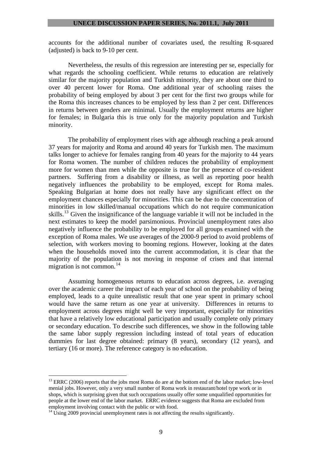accounts for the additional number of covariates used, the resulting R-squared (adjusted) is back to 9-10 per cent.

 Nevertheless, the results of this regression are interesting per se, especially for what regards the schooling coefficient. While returns to education are relatively similar for the majority population and Turkish minority, they are about one third to over 40 percent lower for Roma. One additional year of schooling raises the probability of being employed by about 3 per cent for the first two groups while for the Roma this increases chances to be employed by less than 2 per cent. Differences in returns between genders are minimal. Usually the employment returns are higher for females; in Bulgaria this is true only for the majority population and Turkish minority.

 The probability of employment rises with age although reaching a peak around 37 years for majority and Roma and around 40 years for Turkish men. The maximum talks longer to achieve for females ranging from 40 years for the majority to 44 years for Roma women. The number of children reduces the probability of employment more for women than men while the opposite is true for the presence of co-resident partners. Suffering from a disability or illness, as well as reporting poor health negatively influences the probability to be employed, except for Roma males. Speaking Bulgarian at home does not really have any significant effect on the employment chances especially for minorities. This can be due to the concentration of minorities in low skilled/manual occupations which do not require communication skills.<sup>[13](#page-10-0)</sup> Given the insignificance of the language variable it will not be included in the next estimates to keep the model parsimonious. Provincial unemployment rates also negatively influence the probability to be employed for all groups examined with the exception of Roma males. We use averages of the 2000-9 period to avoid problems of selection, with workers moving to booming regions. However, looking at the dates when the households moved into the current accommodation, it is clear that the majority of the population is not moving in response of crises and that internal migration is not common.<sup>[14](#page-10-1)</sup>

 Assuming homogeneous returns to education across degrees, i.e. averaging over the academic career the impact of each year of school on the probability of being employed, leads to a quite unrealistic result that one year spent in primary school would have the same return as one year at university. Differences in returns to employment across degrees might well be very important, especially for minorities that have a relatively low educational participation and usually complete only primary or secondary education. To describe such differences, we show in the following table the same labor supply regression including instead of total years of education dummies for last degree obtained: primary (8 years), secondary (12 years), and tertiary (16 or more). The reference category is no education.

<span id="page-10-0"></span><sup>&</sup>lt;sup>13</sup> ERRC (2006) reports that the jobs most Roma do are at the bottom end of the labor market; low-level menial jobs. However, only a very small number of Roma work in restaurant/hotel type work or in shops, which is surprising given that such occupations usually offer some unqualified opportunities for people at the lower end of the labor market. ERRC evidence suggests that Roma are excluded from employment involving contact with the public or with food.

<span id="page-10-1"></span> $14 \text{ Using } 2009$  provincial unemployment rates is not affecting the results significantly.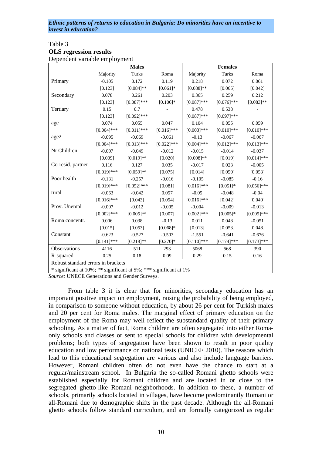#### Table 3 **OLS regression results**  Dependent variable employment

| реренение уатаріе спірго упісни    |                                                       | <b>Males</b>               |               |               | <b>Females</b> |               |
|------------------------------------|-------------------------------------------------------|----------------------------|---------------|---------------|----------------|---------------|
|                                    | Majority                                              | Turks                      | Roma          | Majority      | Turks          | Roma          |
| Primary                            | $-0.105$                                              | 0.172                      | 0.119         | 0.218         | 0.072          | 0.061         |
|                                    | [0.123]                                               | $[0.084]$ **               | $[0.061]$ *   | $[0.088]$ **  | [0.065]        | [0.042]       |
| Secondary                          | 0.078                                                 | 0.261                      | 0.203         | 0.365         | 0.259          | 0.212         |
|                                    | [0.123]                                               | $[0.087]***$               | $[0.106]$ *   | $[0.087]$ *** | $[0.076]$ ***  | $[0.083]$ **  |
| Tertiary                           | 0.15                                                  | 0.7                        |               | 0.478         | 0.538          |               |
|                                    | [0.123]                                               | $[0.092]$ ***              |               | $[0.087]$ *** | $[0.097]***$   |               |
| age                                | 0.074                                                 | 0.055                      | 0.047         | 0.104         | 0.055          | 0.059         |
|                                    | $[0.004]$ ***                                         | $[0.011]$ ***              | $[0.016]$ *** | $[0.003]***$  | $[0.010]$ ***  | $[0.010]$ *** |
| age2                               | $-0.095$                                              | $-0.069$                   | $-0.061$      | $-0.13$       | $-0.067$       | $-0.067$      |
|                                    | $[0.004]$ ***                                         | $[0.013]***$               | $[0.022]$ *** | $[0.004]$ *** | $[0.012]$ ***  | $[0.013]***$  |
| Nr Children                        | $-0.007$                                              | $-0.049$                   | $-0.012$      | $-0.015$      | $-0.014$       | $-0.037$      |
|                                    | [0.009]                                               | $[0.019]**$                | [0.020]       | $[0.008]**$   | [0.019]        | $[0.014]$ *** |
| Co-resid. partner                  | 0.116                                                 | 0.127                      | 0.035         | $-0.017$      | 0.023          | $-0.005$      |
|                                    | $[0.019]$ ***                                         | $[0.059]$ **               | [0.075]       | [0.014]       | [0.050]        | [0.053]       |
| Poor health                        | $-0.131$                                              | $-0.257$                   | $-0.016$      | $-0.105$      | $-0.085$       | $-0.16$       |
|                                    | $[0.019]$ ***                                         | $[0.052]$ ***              | [0.081]       | $[0.016]$ *** | $[0.051]$ *    | $[0.056]$ *** |
| rural                              | $-0.063$                                              | $-0.042$                   | 0.057         | $-0.05$       | $-0.048$       | $-0.04$       |
|                                    | $[0.016]$ ***                                         | [0.043]                    | [0.054]       | $[0.016]$ *** | [0.042]        | [0.040]       |
| Prov. Unempl                       | $-0.007$                                              | $-0.012$                   | $-0.005$      | $-0.004$      | $-0.009$       | $-0.013$      |
|                                    | $[0.002]$ ***                                         | $[0.005]**$                | [0.007]       | $[0.002]$ *** | $[0.005]*$     | $[0.005]$ *** |
| Roma concentr.                     | 0.006                                                 | 0.038                      | $-0.13$       | 0.011         | 0.048          | $-0.051$      |
|                                    | [0.015]                                               | [0.053]                    | $[0.068]*$    | [0.013]       | [0.053]        | [0.048]       |
| Constant                           | $-0.623$                                              | $-0.527$                   | $-0.503$      | $-1.551$      | $-0.641$       | $-0.676$      |
|                                    | $[0.141]$ ***                                         | $[0.218]**$                | $[0.270]$ *   | $[0.110]$ *** | $[0.174]$ ***  | $[0.173]$ *** |
| Observations                       | 4116                                                  | 511                        | 293           | 5068          | 568            | 390           |
| R-squared                          | 0.25                                                  | 0.18                       | 0.09          | 0.29          | 0.15           | 0.16          |
| Robust standard errors in brackets |                                                       |                            |               |               |                |               |
|                                    | $\sim$ $\sim$ 100/ $\sim$ $\sim$ $\sim$ $\sim$ $\sim$ | $\sim 1.500$ , $\sim 2.50$ | . C           |               |                |               |

\* significant at 10%; \*\* significant at 5%; \*\*\* significant at 1%

*Source:* UNECE Generations and Gender Surveys.

 From table 3 it is clear that for minorities, secondary education has an important positive impact on employment, raising the probability of being employed, in comparison to someone without education, by about 26 per cent for Turkish males and 20 per cent for Roma males. The marginal effect of primary education on the employment of the Roma may well reflect the substandard quality of their primary schooling. As a matter of fact, Roma children are often segregated into either Romaonly schools and classes or sent to special schools for children with developmental problems; both types of segregation have been shown to result in poor quality education and low performance on national tests (UNICEF 2010). The reasons which lead to this educational segregation are various and also include language barriers. However, Romani children often do not even have the chance to start at a regular/mainstream school. In Bulgaria the so-called Romani ghetto schools were established especially for Romani children and are located in or close to the segregated ghetto-like Romani neighborhoods. In addition to these, a number of schools, primarily schools located in villages, have become predominantly Romani or all-Romani due to demographic shifts in the past decade. Although the all-Romani ghetto schools follow standard curriculum, and are formally categorized as regular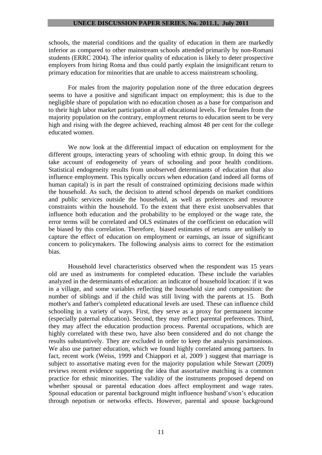schools, the material conditions and the quality of education in them are markedly inferior as compared to other mainstream schools attended primarily by non-Romani students (ERRC 2004). The inferior quality of education is likely to deter prospective employers from hiring Roma and thus could partly explain the insignificant return to primary education for minorities that are unable to access mainstream schooling.

 For males from the majority population none of the three education degrees seems to have a positive and significant impact on employment; this is due to the negligible share of population with no education chosen as a base for comparison and to their high labor market participation at all educational levels. For females from the majority population on the contrary, employment returns to education seem to be very high and rising with the degree achieved, reaching almost 48 per cent for the college educated women.

 We now look at the differential impact of education on employment for the different groups, interacting years of schooling with ethnic group. In doing this we take account of endogeneity of years of schooling and poor health conditions. Statistical endogeneity results from unobserved determinants of education that also influence employment. This typically occurs when education (and indeed all forms of human capital) is in part the result of constrained optimizing decisions made within the household. As such, the decision to attend school depends on market conditions and public services outside the household, as well as preferences and resource constraints within the household. To the extent that there exist unobservables that influence both education and the probability to be employed or the wage rate, the error terms will be correlated and OLS estimates of the coefficient on education will be biased by this correlation. Therefore, biased estimates of returns are unlikely to capture the effect of education on employment or earnings, an issue of significant concern to policymakers. The following analysis aims to correct for the estimation bias.

 Household level characteristics observed when the respondent was 15 years old are used as instruments for completed education. These include the variables analyzed in the determinants of education: an indicator of household location: if it was in a village, and some variables reflecting the household size and composition: the number of siblings and if the child was still living with the parents at 15. Both mother's and father's completed educational levels are used. These can influence child schooling in a variety of ways. First, they serve as a proxy for permanent income (especially paternal education). Second, they may reflect parental preferences. Third, they may affect the education production process. Parental occupations, which are highly correlated with these two, have also been considered and do not change the results substantively. They are excluded in order to keep the analysis parsimonious. We also use partner education, which we found highly correlated among partners. In fact, recent work (Weiss, 1999 and Chiappori et al, 2009 ) suggest that marriage is subject to assortative mating even for the majority population while Stewart (2009) reviews recent evidence supporting the idea that assortative matching is a common practice for ethnic minorities. The validity of the instruments proposed depend on whether spousal or parental education does affect employment and wage rates. Spousal education or parental background might influence husband's/son's education through nepotism or networks effects. However, parental and spouse background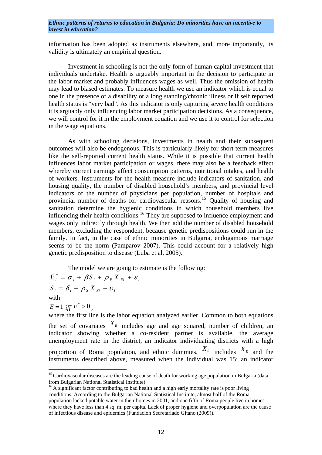information has been adopted as instruments elsewhere, and, more importantly, its validity is ultimately an empirical question.

 Investment in schooling is not the only form of human capital investment that individuals undertake. Health is arguably important in the decision to participate in the labor market and probably influences wages as well. Thus the omission of health may lead to biased estimates. To measure health we use an indicator which is equal to one in the presence of a disability or a long standing/chronic illness or if self reported health status is "very bad". As this indicator is only capturing severe health conditions it is arguably only influencing labor market participation decisions. As a consequence, we will control for it in the employment equation and we use it to control for selection in the wage equations.

 As with schooling decisions, investments in health and their subsequent outcomes will also be endogenous. This is particularly likely for short term measures like the self-reported current health status. While it is possible that current health influences labor market participation or wages, there may also be a feedback effect whereby current earnings affect consumption patterns, nutritional intakes, and health of workers. Instruments for the health measure include indicators of sanitation, and housing quality, the number of disabled household's members, and provincial level indicators of the number of physicians per population, number of hospitals and provincial number of deaths for cardiovascular reasons.[15](#page-13-0) Quality of housing and sanitation determine the hygienic conditions in which household members live influencing their health conditions.<sup>[16](#page-13-1)</sup> They are supposed to influence employment and wages only indirectly through health. We then add the number of disabled household members, excluding the respondent, because genetic predispositions could run in the family. In fact, in the case of ethnic minorities in Bulgaria, endogamous marriage seems to be the norm (Pamparov 2007). This could account for a relatively high genetic predisposition to disease (Luba et al, 2005).

The model we are going to estimate is the following:

$$
E_i^* = \alpha_i + \beta S_i + \rho_E X_{E_i} + \varepsilon_i
$$
  
\n
$$
S_i = \delta_i + \rho_S X_{Si} + \upsilon_i
$$
  
\nwith

 $E = 1$  *iff*  $E^* > 0$ .

 $\overline{a}$ 

where the first line is the labor equation analyzed earlier. Common to both equations the set of covariates  $X_E$  includes age and age squared, number of children, an indicator showing whether a co-resident partner is available, the average unemployment rate in the district, an indicator individuating districts with a high proportion of Roma population, and ethnic dummies.  $X_s$  includes  $X_E$  and the instruments described above, measured when the individual was 15: an indicator

<span id="page-13-0"></span><sup>&</sup>lt;sup>15</sup> Cardiovascular diseases are the leading cause of death for working age population in Bulgaria (data from Bulgarian National Statistical Institute).

<span id="page-13-1"></span><sup>&</sup>lt;sup>16</sup> A significant factor contributing to bad health and a high early mortality rate is poor living conditions. According to the Bulgarian National Statistical Institute, almost half of the Roma population lacked potable water in their homes in 2001, and one fifth of Roma people live in homes where they have less than 4 sq. m. per capita. Lack of proper hygiene and overpopulation are the cause of infectious disease and epidemics (Fundación Secretariado Gitano (2009)).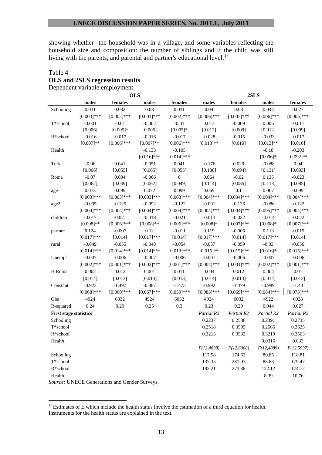showing whether the household was in a village, and some variables reflecting the household size and composition: the number of siblings and if the child was still living with the parents, and parental and partner's educational level.<sup>[17](#page-14-0)</sup>

#### Table 4 **OLS and 2SLS regression results**  Dependent variable employment

|                               |               |               | <b>OLS</b>    |                  | 2SLS          |               |               |               |
|-------------------------------|---------------|---------------|---------------|------------------|---------------|---------------|---------------|---------------|
|                               | males         | females       | males         | females          | males         | females       | males         | females       |
| Schooling                     | 0.031         | 0.032         | 0.03          | 0.031            | 0.04          | 0.03          | 0.044         | 0.027         |
|                               | $[0.003]$ *** | $[0.002]$ *** | $[0.003]$ *** | $[0.002]$ ***    | $[0.006]$ *** | $[0.005]$ *** | $[0.006]$ *** | $[0.005]$ *** |
| T*school                      | $-0.001$      | $-0.01$       | $-0.002$      | $-0.01$          | 0.013         | $-0.009$      | 0.006         | $-0.011$      |
|                               | [0.006]       | $[0.005]*$    | [0.006]       | $[0.005]*$       | [0.012]       | [0.009]       | [0.012]       | [0.009]       |
| R*school                      | $-0.016$      | $-0.017$      | $-0.016$      | $-0.017$         | $-0.028$      | $-0.015$      | $-0.033$      | $-0.017$      |
|                               | $[0.007]**$   | $[0.006]$ *** | $[0.007]**$   | $[0.006]$ ***    | $[0.013]**$   | [0.010]       | $[0.013]**$   | [0.010]       |
| Health                        |               |               | $-0.133$      | $-0.105$         |               |               | $-0.18$       | $-0.203$      |
|                               |               |               | $[0.016]$ *** | $[0.014]$ ***    |               |               | $[0.096]$ *   | $[0.092]$ **  |
| Turk                          | $-0.06$       | 0.041         | $-0.051$      | 0.041            | $-0.176$      | 0.029         | $-0.088$      | 0.04          |
|                               | [0.066]       | [0.055]       | [0.065]       | [0.055]          | [0.130]       | [0.094]       | [0.131]       | [0.093]       |
| Roma                          | $-0.07$       | 0.004         | $-0.066$      | $\boldsymbol{0}$ | 0.064         | $-0.02$       | 0.135         | $-0.023$      |
|                               | [0.062]       | [0.049]       | [0.062]       | [0.049]          | [0.114]       | [0.085]       | [0.113]       | [0.085]       |
| age                           | 0.073         | 0.099         | 0.072         | 0.099            | 0.069         | 0.1           | 0.067         | 0.099         |
|                               | $[0.003]***$  | $[0.003]***$  | $[0.003]***$  | $[0.003]$ ***    | $[0.004]$ *** | $[0.004]$ *** | $[0.004]$ *** | $[0.004]$ *** |
| age2                          | $-0.095$      | $-0.125$      | $-0.092$      | $-0.122$         | $-0.091$      | $-0.126$      | $-0.086$      | $-0.122$      |
|                               | $[0.004]$ *** | $[0.004]$ *** | $[0.004]$ *** | $[0.004]$ ***    | $[0.004]$ *** | $[0.004]$ *** | $[0.005]$ *** | $[0.004]$ *** |
| children                      | $-0.017$      | $-0.021$      | $-0.018$      | $-0.021$         | $-0.013$      | $-0.022$      | $-0.014$      | $-0.022$      |
|                               | $[0.008]**$   | $[0.006]$ *** | $[0.008]**$   | $[0.006]$ ***    | $[0.008]*$    | $[0.007]***$  | $[0.008]*$    | $[0.007]$ *** |
| partner                       | 0.124         | $-0.007$      | 0.12          | $-0.011$         | 0.119         | $-0.006$      | 0.113         | $-0.015$      |
|                               | $[0.017]***$  | [0.014]       | $[0.017]***$  | [0.014]          | $[0.017]***$  | [0.014]       | $[0.017]$ *** | [0.014]       |
| rural                         | $-0.049$      | $-0.055$      | $-0.048$      | $-0.054$         | $-0.037$      | $-0.059$      | $-0.03$       | $-0.056$      |
|                               | $[0.014]$ *** | $[0.014]$ *** | $[0.014]$ *** | $[0.013]***$     | $[0.016]$ **  | $[0.015]$ *** | $[0.016]*$    | $[0.015]$ *** |
| Unempl                        | $-0.007$      | $-0.006$      | $-0.007$      | $-0.006$         | $-0.007$      | $-0.006$      | $-0.007$      | $-0.006$      |
|                               | $[0.002]$ *** | $[0.001]***$  | $[0.002]$ *** | $[0.001]$ ***    | $[0.002]$ *** | $[0.001]$ *** | $[0.002]$ *** | $[0.001]***$  |
| H Roma                        | 0.002         | 0.012         | 0.001         | 0.011            | 0.004         | 0.012         | 0.004         | $0.01\,$      |
|                               | [0.014]       | [0.013]       | [0.014]       | [0.013]          | [0.014]       | [0.013]       | [0.014]       | [0.013]       |
| Constant                      | $-0.923$      | $-1.497$      | $-0.887$      | $-1.475$         | $-0.992$      | $-1.479$      | $-0.989$      | $-1.44$       |
|                               | $[0.068]$ *** | $[0.060]$ *** | $[0.067]$ *** | $[0.059]$ ***    | $[0.083]$ *** | $[0.069]$ *** | $[0.084]$ *** | $[0.073]***$  |
| Obs                           | 4924          | 6032          | 4924          | 6032             | 4924          | 6032          | 4922          | 6028          |
| R-squared                     | 0.24          | 0.29          | 0.25          | 0.3              | 0.23          | 0.29          | 0.044         | 0.027         |
| <b>First stage statistics</b> |               |               |               |                  | Partial R2    | Partial R2    | Partial R2    | Partial R2    |
| Schooling                     |               |               |               |                  | 0.2237        | 0.2586        | 0.2391        | 0.2735        |
| T*school                      |               |               |               |                  | 0.2518        | 0.3595        | 0.2566        | 0.3625        |
| R*school                      |               |               |               |                  | 0.3213        | 0.3532        | 0.3219        | 0.3563        |
| Health                        |               |               |               |                  |               |               | 0.0316        | 0.033         |
|                               |               |               |               |                  | F(12, 4898)   | F(12,6008)    | F(12, 4889)   | F(12, 5997)   |
| Schooling                     |               |               |               |                  | 117.58        | 174.62        | 80.85         | 118.81        |
| T*school                      |               |               |               |                  | 137.35        | 281.07        | 88.83         | 179.47        |
| R*school                      |               |               |               |                  | 193.21        | 273.38        | 122.12        | 174.72        |
| Health                        |               |               |               |                  |               |               | 8.39          | 10.76         |

*Source:* UNECE Generations and Gender Surveys.

<span id="page-14-0"></span> $17$  Estimates of E which include the health status involve the estimation of a third equation for health. Instruments for the health status are explained in the text.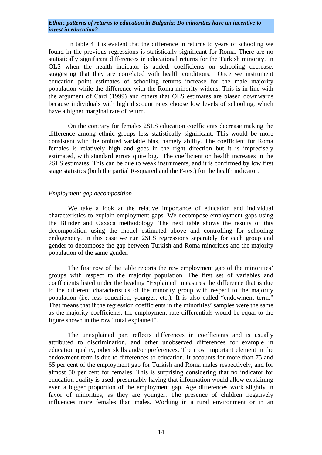In table 4 it is evident that the difference in returns to years of schooling we found in the previous regressions is statistically significant for Roma. There are no statistically significant differences in educational returns for the Turkish minority. In OLS when the health indicator is added, coefficients on schooling decrease, suggesting that they are correlated with health conditions. Once we instrument education point estimates of schooling returns increase for the male majority population while the difference with the Roma minority widens. This is in line with the argument of Card (1999) and others that OLS estimates are biased downwards because individuals with high discount rates choose low levels of schooling, which have a higher marginal rate of return.

 On the contrary for females 2SLS education coefficients decrease making the difference among ethnic groups less statistically significant. This would be more consistent with the omitted variable bias, namely ability. The coefficient for Roma females is relatively high and goes in the right direction but it is imprecisely estimated, with standard errors quite big. The coefficient on health increases in the 2SLS estimates. This can be due to weak instruments, and it is confirmed by low first stage statistics (both the partial R-squared and the F-test) for the health indicator.

# *Employment gap decomposition*

 We take a look at the relative importance of education and individual characteristics to explain employment gaps. We decompose employment gaps using the Blinder and Oaxaca methodology. The next table shows the results of this decomposition using the model estimated above and controlling for schooling endogeneity. In this case we run 2SLS regressions separately for each group and gender to decompose the gap between Turkish and Roma minorities and the majority population of the same gender.

 The first row of the table reports the raw employment gap of the minorities' groups with respect to the majority population. The first set of variables and coefficients listed under the heading "Explained" measures the difference that is due to the different characteristics of the minority group with respect to the majority population (i.e. less education, younger, etc.). It is also called "endowment term." That means that if the regression coefficients in the minorities' samples were the same as the majority coefficients, the employment rate differentials would be equal to the figure shown in the row "total explained".

 The unexplained part reflects differences in coefficients and is usually attributed to discrimination, and other unobserved differences for example in education quality, other skills and/or preferences. The most important element in the endowment term is due to differences to education. It accounts for more than 75 and 65 per cent of the employment gap for Turkish and Roma males respectively, and for almost 50 per cent for females. This is surprising considering that no indicator for education quality is used; presumably having that information would allow explaining even a bigger proportion of the employment gap. Age differences work slightly in favor of minorities, as they are younger. The presence of children negatively influences more females than males. Working in a rural environment or in an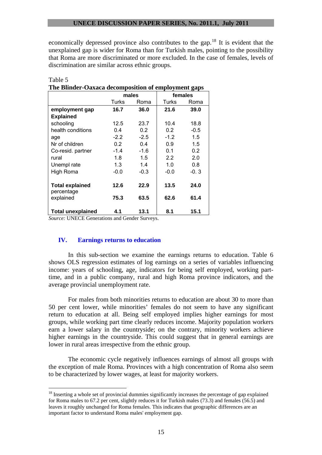economically depressed province also contributes to the gap.<sup>[18](#page-16-0)</sup> It is evident that the unexplained gap is wider for Roma than for Turkish males, pointing to the possibility that Roma are more discriminated or more excluded. In the case of females, levels of discrimination are similar across ethnic groups.

| The Blinder-Oaxaca decomposition of employment gaps |        |        |        |         |  |  |  |  |  |
|-----------------------------------------------------|--------|--------|--------|---------|--|--|--|--|--|
|                                                     |        | males  |        | females |  |  |  |  |  |
|                                                     | Turks  | Roma   | Turks  | Roma    |  |  |  |  |  |
| employment gap                                      | 16.7   | 36.0   | 21.6   | 39.0    |  |  |  |  |  |
| <b>Explained</b>                                    |        |        |        |         |  |  |  |  |  |
| schooling                                           | 12.5   | 23.7   | 10.4   | 18.8    |  |  |  |  |  |
| health conditions                                   | 0.4    | 0.2    | 0.2    | $-0.5$  |  |  |  |  |  |
| age                                                 | $-2.2$ | $-2.5$ | $-1.2$ | 1.5     |  |  |  |  |  |
| Nr of children                                      | 0.2    | 0.4    | 0.9    | 1.5     |  |  |  |  |  |
| Co-resid. partner                                   | $-1.4$ | $-1.6$ | 0.1    | 0.2     |  |  |  |  |  |
| rural                                               | 1.8    | 1.5    | 2.2    | 2.0     |  |  |  |  |  |
| Unempl rate                                         | 1.3    | 1.4    | 1.0    | 0.8     |  |  |  |  |  |
| High Roma                                           | $-0.0$ | $-0.3$ | $-0.0$ | -0.3    |  |  |  |  |  |
| <b>Total explained</b><br>percentage                | 12.6   | 22.9   | 13.5   | 24.0    |  |  |  |  |  |
| explained                                           | 75.3   | 63.5   | 62.6   | 61.4    |  |  |  |  |  |
| <b>Total unexplained</b>                            | 4.1    | 13.1   | 8.1    | 15.1    |  |  |  |  |  |

| Table 5                                             |  |
|-----------------------------------------------------|--|
| The Rlinder-Ogyaca decomposition of employment gaps |  |

*Source:* UNECE Generations and Gender Surveys.

 $\overline{a}$ 

# **IV. Earnings returns to education**

 In this sub-section we examine the earnings returns to education. Table 6 shows OLS regression estimates of log earnings on a series of variables influencing income: years of schooling, age, indicators for being self employed, working parttime, and in a public company, rural and high Roma province indicators, and the average provincial unemployment rate.

 For males from both minorities returns to education are about 30 to more than 50 per cent lower, while minorities' females do not seem to have any significant return to education at all. Being self employed implies higher earnings for most groups, while working part time clearly reduces income. Majority population workers earn a lower salary in the countryside; on the contrary, minority workers achieve higher earnings in the countryside. This could suggest that in general earnings are lower in rural areas irrespective from the ethnic group.

 The economic cycle negatively influences earnings of almost all groups with the exception of male Roma. Provinces with a high concentration of Roma also seem to be characterized by lower wages, at least for majority workers.

<span id="page-16-0"></span><sup>&</sup>lt;sup>18</sup> Inserting a whole set of provincial dummies significantly increases the percentage of gap explained for Roma males to 67.2 per cent, slightly reduces it for Turkish males (73.3) and females (56.5) and leaves it roughly unchanged for Roma females. This indicates that geographic differences are an important factor to understand Roma males' employment gap.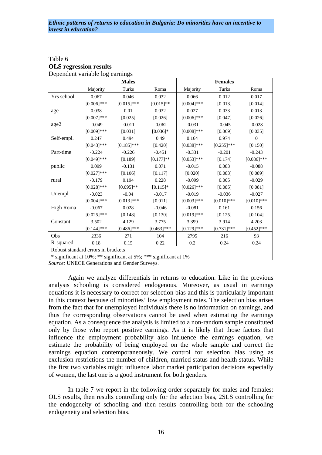| Table 6                         |  |
|---------------------------------|--|
| <b>OLS</b> regression results   |  |
| Dependent variable log earnings |  |

|            | where $\sim$                       | <b>Males</b>  |               |               | <b>Females</b> |               |
|------------|------------------------------------|---------------|---------------|---------------|----------------|---------------|
|            | Majority                           | Turks         | Roma          | Majority      | Turks          | Roma          |
| Yrs school | 0.067                              | 0.046         | 0.032         | 0.066         | 0.012          | 0.017         |
|            | $[0.006]$ ***                      | $[0.015]$ *** | $[0.015]$ **  | $[0.004]$ *** | [0.013]        | [0.014]       |
| age        | 0.038                              | 0.01          | 0.032         | 0.027         | 0.033          | 0.013         |
|            | $[0.007]***$                       | [0.025]       | [0.026]       | $[0.006]$ *** | [0.047]        | [0.026]       |
| age2       | $-0.049$                           | $-0.011$      | $-0.062$      | $-0.031$      | $-0.045$       | $-0.028$      |
|            | $[0.009]***$                       | [0.031]       | $[0.036]*$    | $[0.008]$ *** | [0.069]        | [0.035]       |
| Self-empl. | 0.247                              | 0.494         | 0.49          | 0.164         | 0.974          | $\theta$      |
|            | $[0.043]$ ***                      | $[0.185]$ *** | [0.420]       | $[0.038]$ *** | $[0.255]$ ***  | [0.150]       |
| Part-time  | $-0.224$                           | $-0.226$      | $-0.451$      | $-0.331$      | $-0.201$       | $-0.243$      |
|            | $[0.049]$ ***                      | [0.189]       | $[0.177]$ **  | $[0.053]$ *** | [0.174]        | $[0.086]$ *** |
| public     | 0.099                              | $-0.131$      | 0.071         | $-0.015$      | 0.083          | $-0.088$      |
|            | $[0.027]***$                       | [0.106]       | [0.117]       | [0.020]       | [0.083]        | [0.089]       |
| rural      | $-0.179$                           | 0.194         | 0.228         | $-0.099$      | 0.005          | $-0.029$      |
|            | $[0.028]$ ***                      | $[0.095]$ **  | $[0.115]*$    | $[0.026]$ *** | [0.085]        | [0.081]       |
| Unempl     | $-0.023$                           | $-0.04$       | $-0.017$      | $-0.019$      | $-0.036$       | $-0.027$      |
|            | $[0.004]$ ***                      | $[0.013]***$  | [0.011]       | $[0.003]$ *** | $[0.010]$ ***  | $[0.010]$ *** |
| High Roma  | $-0.067$                           | 0.028         | $-0.046$      | $-0.081$      | 0.161          | 0.156         |
|            | $[0.025]$ ***                      | [0.148]       | [0.130]       | $[0.019]***$  | [0.125]        | [0.104]       |
| Constant   | 3.502                              | 4.129         | 3.775         | 3.399         | 3.914          | 4.203         |
|            | $[0.144]$ ***                      | $[0.486]$ *** | $[0.463]$ *** | $[0.129]$ *** | $[0.731]$ ***  | $[0.452]$ *** |
| Obs        | 2336                               | 271           | 104           | 2795          | 216            | 93            |
| R-squared  | 0.18                               | 0.15          | 0.22          | 0.2           | 0.24           | 0.24          |
|            | Robust standard errors in brackets |               |               |               |                |               |

\* significant at 10%; \*\* significant at 5%; \*\*\* significant at 1%

*Source:* UNECE Generations and Gender Surveys.

 Again we analyze differentials in returns to education. Like in the previous analysis schooling is considered endogenous. Moreover, as usual in earnings equations it is necessary to correct for selection bias and this is particularly important in this context because of minorities' low employment rates. The selection bias arises from the fact that for unemployed individuals there is no information on earnings, and thus the corresponding observations cannot be used when estimating the earnings equation. As a consequence the analysis is limited to a non-random sample constituted only by those who report positive earnings. As it is likely that those factors that influence the employment probability also influence the earnings equation, we estimate the probability of being employed on the whole sample and correct the earnings equation contemporaneously. We control for selection bias using as exclusion restrictions the number of children, married status and health status. While the first two variables might influence labor market participation decisions especially of women, the last one is a good instrument for both genders.

 In table 7 we report in the following order separately for males and females: OLS results, then results controlling only for the selection bias, 2SLS controlling for the endogeneity of schooling and then results controlling both for the schooling endogeneity and selection bias.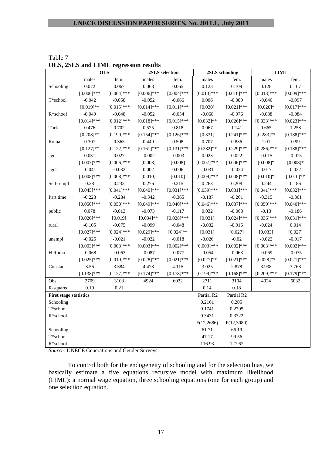| ULD, ZDLD                     |               | and Linit regression results<br><b>OLS</b> |               | 2SLS selection |                  | 2SLS schooling |               | <b>LIML</b>   |  |
|-------------------------------|---------------|--------------------------------------------|---------------|----------------|------------------|----------------|---------------|---------------|--|
|                               | males         | fem.                                       | males         | fem.           | males            | fem.           | males         | fem.          |  |
|                               | 0.072         | 0.067                                      | 0.068         | 0.065          | 0.123            | 0.109          | 0.128         | 0.107         |  |
| Schooling                     | $[0.006]$ *** | $[0.004]$ ***                              | $[0.006]$ *** | $[0.004]$ ***  | $[0.013]***$     | $[0.010]$ ***  | $[0.013]$ *** | $[0.009]$ *** |  |
| T*school                      | $-0.042$      | $-0.058$                                   | $-0.052$      | $-0.066$       | 0.006            | $-0.089$       | $-0.046$      | $-0.097$      |  |
|                               | $[0.019]**$   | $[0.015]$ ***                              | $[0.014]$ *** | $[0.011]$ ***  | [0.030]          | $[0.021]$ ***  | $[0.026]*$    | $[0.017]***$  |  |
| R*school                      | $-0.049$      | $-0.048$                                   | $-0.052$      | $-0.054$       | $-0.068$         | $-0.076$       | $-0.088$      | $-0.084$      |  |
|                               | $[0.014]$ *** | $[0.012]$ ***                              | $[0.018]***$  | $[0.015]***$   | $[0.032]$ **     | $[0.026]$ ***  | $[0.033]$ *** | $[0.023]***$  |  |
| Turk                          | 0.476         | 0.702                                      | 0.575         | 0.818          | 0.067            | 1.141          | 0.665         | 1.258         |  |
|                               | $[0.208]**$   | $[0.190]$ ***                              | $[0.154]$ *** | $[0.126]$ ***  |                  |                | $[0.283]**$   | $[0.188]$ *** |  |
|                               | 0.307         | 0.365                                      |               |                | [0.331]<br>0.707 | $[0.241]$ ***  | 1.01          | 0.99          |  |
| Roma                          |               |                                            | 0.449         | 0.508          |                  | 0.836          |               |               |  |
|                               | $[0.127]$ **  | $[0.122]$ ***                              | $[0.161]$ *** | $[0.131]$ ***  | $[0.282]$ **     | $[0.229]$ ***  | $[0.286]$ *** | $[0.188]$ *** |  |
| age                           | 0.031         | 0.027                                      | $-0.002$      | $-0.003$       | 0.023            | 0.022          | $-0.015$      | $-0.015$      |  |
|                               | $[0.007]***$  | $[0.006]$ ***                              | [0.008]       | [0.008]        | $[0.007]$ ***    | $[0.006]$ ***  | $[0.008]*$    | $[0.008]*$    |  |
| age2                          | $-0.041$      | $-0.032$                                   | 0.002         | 0.006          | $-0.031$         | $-0.024$       | 0.017         | 0.022         |  |
|                               | $[0.008]$ *** | $[0.008]$ ***                              | [0.010]       | [0.010]        | $[0.009]$ ***    | $[0.008]$ ***  | $[0.010]*$    | $[0.010]**$   |  |
| Self-empl                     | 0.28          | 0.233                                      | 0.276         | 0.215          | 0.263            | 0.208          | 0.244         | 0.186         |  |
|                               | $[0.045]$ *** | $[0.041]$ ***                              | $[0.040]$ *** | $[0.031]***$   | $[0.039]$ ***    | $[0.031]***$   | $[0.041]$ *** | $[0.032]$ *** |  |
| Part time                     | $-0.223$      | $-0.284$                                   | $-0.342$      | $-0.365$       | $-0.187$         | $-0.261$       | $-0.315$      | $-0.361$      |  |
|                               | $[0.050]$ *** | $[0.050]$ ***                              | $[0.049]$ *** | $[0.040]$ ***  | $[0.046]$ ***    | $[0.037]$ ***  | $[0.050]$ *** | $[0.040]$ *** |  |
| public                        | 0.078         | $-0.013$                                   | $-0.073$      | $-0.117$       | 0.032            | $-0.068$       | $-0.13$       | $-0.186$      |  |
|                               | $[0.026]$ *** | [0.019]                                    | $[0.034]$ **  | $[0.028]$ ***  | [0.031]          | $[0.024]$ ***  | $[0.036]$ *** | $[0.031]***$  |  |
| rural                         | $-0.105$      | $-0.075$                                   | $-0.099$      | $-0.048$       | $-0.032$         | $-0.015$       | $-0.024$      | 0.014         |  |
|                               | $[0.027]$ *** | $[0.024]$ ***                              | $[0.029]$ *** | $[0.024]$ **   | [0.031]          | [0.027]        | [0.033]       | [0.027]       |  |
| unempl                        | $-0.025$      | $-0.021$                                   | $-0.022$      | $-0.018$       | $-0.026$         | $-0.02$        | $-0.022$      | $-0.017$      |  |
|                               | $[0.003]***$  | $[0.003]***$                               | $[0.003]***$  | $[0.002]$ ***  | $[0.003]***$     | $[0.002]$ ***  | $[0.003]***$  | $[0.002]$ *** |  |
| H Roma                        | $-0.068$      | $-0.063$                                   | $-0.087$      | $-0.077$       | $-0.054$         | $-0.063$       | $-0.069$      | $-0.075$      |  |
|                               | $[0.025]$ *** | $[0.019]***$                               | $[0.028]$ *** | $[0.021]$ ***  | $[0.027]**$      | $[0.021]$ ***  | $[0.028]**$   | $[0.021]$ *** |  |
| Constant                      | 3.56          | 3.384                                      | 4.478         | 4.115          | 3.025            | 2.878          | 3.938         | 3.763         |  |
|                               | $[0.138]$ *** | $[0.127]$ ***                              | $[0.174]$ *** | $[0.178]$ ***  | $[0.199]$ ***    | $[0.168]$ ***  | $[0.209]$ *** | $[0.179]$ *** |  |
| Obs                           | 2709          | 3103                                       | 4924          | 6032           | 2711             | 3104           | 4924          | 6032          |  |
| R-squared                     | 0.19          | 0.21                                       |               |                | 0.14             | 0.18           |               |               |  |
| <b>First stage statistics</b> |               |                                            |               |                | Partial R2       | Partial R2     |               |               |  |
| Schooling                     |               |                                            |               |                | 0.2161           | 0.205          |               |               |  |
| $\mathcal{T}^*$ school        |               |                                            |               |                | 0.1741           | 0.2795         |               |               |  |
| $R*$ school                   |               |                                            |               |                | 0.3431           | 0.3322         |               |               |  |
|                               |               |                                            |               |                | F(12, 2686)      | F(12,3080)     |               |               |  |
| Schooling                     |               |                                            |               |                | 61.71            | 66.19          |               |               |  |
| T*school                      |               |                                            |               |                | 47.17            | 99.56          |               |               |  |
| R*school                      |               |                                            |               |                | 116.93           | 127.67         |               |               |  |

| Table 7                               |  |
|---------------------------------------|--|
| OLS, 2SLS and LIML regression results |  |

*Source:* UNECE Generations and Gender Surveys.

 To control both for the endogeneity of schooling and for the selection bias, we basically estimate a five equations recursive model with maximum likelihood (LIML): a normal wage equation, three schooling equations (one for each group) and one selection equation.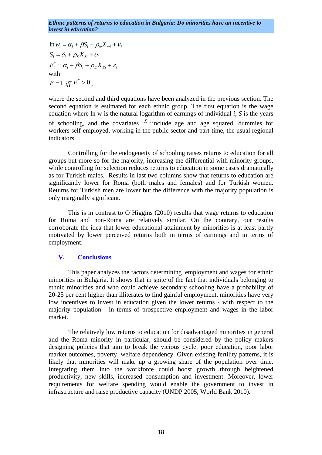$E_i^* = \alpha_i + \beta S_i + \rho_E X_{E_i} + \varepsilon_i$  $S_i = \delta_i + \rho_s X_{Si} + v_i$  $\ln w_i = \alpha_i + \beta S_i + \rho_w X_{wi} + v_i$ with  $E = 1$  *iff*  $E^* > 0$ 

where the second and third equations have been analyzed in the previous section. The second equation is estimated for each ethnic group. The first equation is the wage equation where ln w is the natural logarithm of earnings of individual *i, S* is the years of schooling, and the covariates  $X_{\nu}$  include age and age squared, dummies for workers self-employed, working in the public sector and part-time, the usual regional indicators.

 Controlling for the endogeneity of schooling raises returns to education for all groups but more so for the majority, increasing the differential with minority groups, while controlling for selection reduces returns to education in some cases dramatically as for Turkish males. Results in last two columns show that returns to education are significantly lower for Roma (both males and females) and for Turkish women. Returns for Turkish men are lower but the difference with the majority population is only marginally significant.

 This is in contrast to O'Higgins (2010) results that wage returns to education for Roma and non-Roma are relatively similar. On the contrary, our results corroborate the idea that lower educational attainment by minorities is at least partly motivated by lower perceived returns both in terms of earnings and in terms of employment.

#### **V. Conclusions**

 This paper analyzes the factors determining employment and wages for ethnic minorities in Bulgaria. It shows that in spite of the fact that individuals belonging to ethnic minorities and who could achieve secondary schooling have a probability of 20-25 per cent higher than illiterates to find gainful employment, minorities have very low incentives to invest in education given the lower returns - with respect to the majority population - in terms of prospective employment and wages in the labor market.

 The relatively low returns to education for disadvantaged minorities in general and the Roma minority in particular, should be considered by the policy makers designing policies that aim to break the vicious cycle: poor education, poor labor market outcomes, poverty, welfare dependency. Given existing fertility patterns, it is likely that minorities will make up a growing share of the population over time. Integrating them into the workforce could boost growth through heightened productivity, new skills, increased consumption and investment. Moreover, lower requirements for welfare spending would enable the government to invest in infrastructure and raise productive capacity (UNDP 2005, World Bank 2010).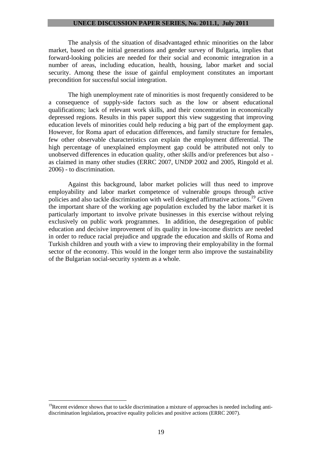The analysis of the situation of disadvantaged ethnic minorities on the labor market, based on the initial generations and gender survey of Bulgaria, implies that forward-looking policies are needed for their social and economic integration in a number of areas, including education, health, housing, labor market and social security. Among these the issue of gainful employment constitutes an important precondition for successful social integration.

 The high unemployment rate of minorities is most frequently considered to be a consequence of supply-side factors such as the low or absent educational qualifications; lack of relevant work skills, and their concentration in economically depressed regions. Results in this paper support this view suggesting that improving education levels of minorities could help reducing a big part of the employment gap. However, for Roma apart of education differences, and family structure for females, few other observable characteristics can explain the employment differential. The high percentage of unexplained employment gap could be attributed not only to unobserved differences in education quality, other skills and/or preferences but also as claimed in many other studies (ERRC 2007, UNDP 2002 and 2005, Ringold et al. 2006) - to discrimination.

 Against this background, labor market policies will thus need to improve employability and labor market competence of vulnerable groups through active policies and also tackle discrimination with well designed affirmative actions.[19](#page-20-0) Given the important share of the working age population excluded by the labor market it is particularly important to involve private businesses in this exercise without relying exclusively on public work programmes. In addition, the desegregation of public education and decisive improvement of its quality in low-income districts are needed in order to reduce racial prejudice and upgrade the education and skills of Roma and Turkish children and youth with a view to improving their employability in the formal sector of the economy. This would in the longer term also improve the sustainability of the Bulgarian social-security system as a whole.

<span id="page-20-0"></span> $19$ Recent evidence shows that to tackle discrimination a mixture of approaches is needed including antidiscrimination legislation**,** proactive equality policies and positive actions (ERRC 2007).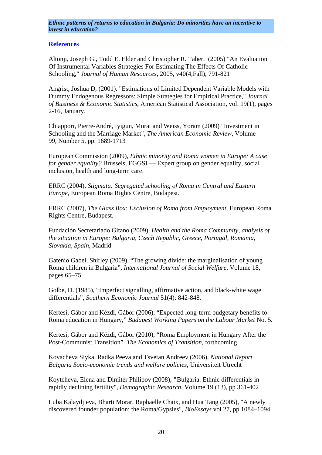# **References**

Altonji, Joseph G., Todd E. Elder and Christopher R. Taber. (2005) "An Evaluation Of Instrumental Variables Strategies For Estimating The Effects Of Catholic Schooling," *Journal of Human Resources*, 2005, v40(4,Fall), 791-821

Angrist, Joshua D, (2001). ["Estimations of Limited Dependent Variable Models with](http://ideas.repec.org/a/bes/jnlbes/v19y2001i1p2-16.html)  [Dummy Endogenous Regressors: Simple Strategies for Empirical Practice,](http://ideas.repec.org/a/bes/jnlbes/v19y2001i1p2-16.html)" *[Journal](http://ideas.repec.org/s/bes/jnlbes.html)  [of Business & Economic Statistics](http://ideas.repec.org/s/bes/jnlbes.html)*, American Statistical Association, vol. 19(1), pages 2-16, January.

Chiappori, Pierre-André, Iyigun, Murat and Weiss, Yoram (2009) "Investment in Schooling and the Marriage Market"*, [The American Economic Review](http://www.ingentaconnect.com/content/aea/aer;jsessionid=63fsat46luitr.alice)*, Volume 99, Number 5, pp. 1689-1713

European Commission (2009), *Ethnic minority and Roma women in Europe: A case for gender equality?* Brussels, EGGSI — Expert group on gender equality, social inclusion, health and long-term care.

ERRC (2004), *Stigmata: Segregated schooling of Roma in Central and Eastern Europe*, European Roma Rights Centre, Budapest.

ERRC (2007), *The Glass Box: Exclusion of Roma from Employment,* European Roma Rights Centre, Budapest.

Fundación Secretariado Gitano (2009), *Health and the Roma Community, analysis of the situation in Europe: Bulgaria, Czech Republic, Greece, Portugal, Romania, Slovakia, Spain*, Madrid

Gatenio Gabel, Shirley (2009), "The growing divide: the marginalisation of young Roma children in Bulgaria", *International Journal of Social Welfare*, Volume 18, pages 65–75

Golbe, D. (1985), "Imperfect signalling, affirmative action, and black-white wage differentials", *Southern Economic Journal* 51(4): 842-848.

Kertesi, Gábor and Kézdi, Gábor (2006), "Expected long-term budgetary benefits to Roma education in Hungary," *Budapest Working Papers on the Labour Market* No. 5.

Kertesi, Gábor and Kézdi, Gábor (2010), "Roma Employment in Hungary After the Post-Communist Transition". *The Economics of Transition,* forthcoming.

Kovacheva Siyka, Radka Peeva and Tsvetan Andreev (2006), *National Report Bulgaria Socio-economic trends and welfare policies*, Universiteit Utrecht

Koytcheva, Elena and Dimiter Philipov (2008), **"**Bulgaria: Ethnic differentials in rapidly declining fertility", *Demographic Research,* Volume 19 (13), pp 361-402

Luba Kalaydjieva, Bharti Morar, Raphaelle Chaix, and Hua Tang (2005), "A newly discovered founder population: the Roma/Gypsies"*, BioEssays* vol 27, pp 1084–1094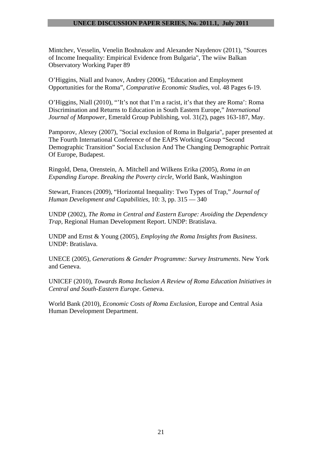Mintchev, Vesselin, Venelin Boshnakov and Alexander Naydenov (2011), "Sources of Income Inequality: Empirical Evidence from Bulgaria", The wiiw Balkan Observatory Working Paper 89

O'Higgins, Niall and Ivanov, Andrey (2006), "Education and Employment Opportunities for the Roma", *Comparative Economic Studies*, vol. 48 Pages 6-19.

O'Higgins, Niall (2010), "'It's not that I'm a racist, it's that they are Roma': Roma Discrimination and Returns to Education in South Eastern Europe," *International Journal of Manpower*, Emerald Group Publishing, vol. 31(2), pages 163-187, May.

Pamporov, Alexey (2007), "Social exclusion of Roma in Bulgaria", paper presented at The Fourth International Conference of the EAPS Working Group "Second Demographic Transition" Social Exclusion And The Changing Demographic Portrait Of Europe, Budapest.

Ringold, Dena, Orenstein, A. Mitchell and Wilkens Erika (2005), *Roma in an Expanding Europe. Breaking the Poverty circle*, World Bank, Washington

Stewart, Frances (2009), "Horizontal Inequality: Two Types of Trap," *Journal of Human Development and Capabilities*, 10: 3, pp. 315 — 340

UNDP (2002), *The Roma in Central and Eastern Europe: Avoiding the Dependency Trap,* Regional Human Development Report. UNDP: Bratislava.

UNDP and Ernst & Young (2005), *Employing the Roma Insights from Business*. UNDP: Bratislava.

UNECE (2005), *Generations & Gender Programme: Survey Instruments*. New York and Geneva.

UNICEF (2010), *Towards Roma Inclusion A Review of Roma Education Initiatives in Central and South-Eastern Europe*. Geneva.

World Bank (2010), *Economic Costs of Roma Exclusion*, Europe and Central Asia Human Development Department.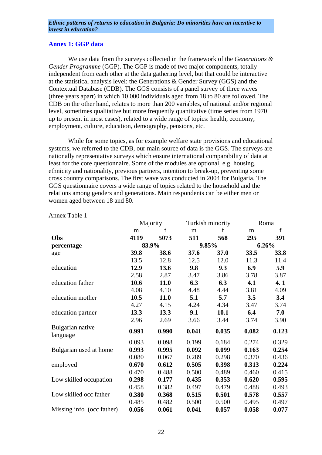# **Annex 1: GGP data**

 We use data from the surveys collected in the framework of the *Generations & Gender Programme* (GGP). The GGP is made of two major components, totally independent from each other at the data gathering level, but that could be interactive at the statistical analysis level: the Generations & Gender Survey (GGS) and the Contextual Database (CDB). The GGS consists of a panel survey of three waves (three years apart) in which 10 000 individuals aged from 18 to 80 are followed. The CDB on the other hand, relates to more than 200 variables, of national and/or regional level, sometimes qualitative but more frequently quantitative (time series from 1970 up to present in most cases), related to a wide range of topics: health, economy, employment, culture, education, demography, pensions, etc.

 While for some topics, as for example welfare state provisions and educational systems, we referred to the CDB, our main source of data is the GGS. The surveys are nationally representative surveys which ensure international comparability of data at least for the core questionnaire. Some of the modules are optional, e.g. housing, ethnicity and nationality, previous partners, intention to break-up, preventing some cross country comparisons. The first wave was conducted in 2004 for Bulgaria. The GGS questionnaire covers a wide range of topics related to the household and the relations among genders and generations. Main respondents can be either men or women aged between 18 and 80.

|                              | Majority |       | Turkish minority |       | Roma  |       |
|------------------------------|----------|-------|------------------|-------|-------|-------|
|                              | m        | f     | m                | f     | m     | f     |
| Obs                          | 4119     | 5073  | 511              | 568   | 295   | 391   |
| percentage                   |          | 83.9% |                  | 9.85% |       | 6.26% |
| age                          | 39.8     | 38.6  | 37.6             | 37.0  | 33.5  | 33.8  |
|                              | 13.5     | 12.8  | 12.5             | 12.0  | 11.3  | 11.4  |
| education                    | 12.9     | 13.6  | 9.8              | 9.3   | 6.9   | 5.9   |
|                              | 2.58     | 2.87  | 3.47             | 3.86  | 3.78  | 3.87  |
| education father             | 10.6     | 11.0  | 6.3              | 6.3   | 4.1   | 4.1   |
|                              | 4.08     | 4.10  | 4.48             | 4.44  | 3.81  | 4.09  |
| education mother             | 10.5     | 11.0  | 5.1              | 5.7   | 3.5   | 3.4   |
|                              | 4.27     | 4.15  | 4.24             | 4.34  | 3.47  | 3.74  |
| education partner            | 13.3     | 13.3  | 9.1              | 10.1  | 6.4   | 7.0   |
|                              | 2.96     | 2.69  | 3.66             | 3.44  | 3.74  | 3.90  |
| Bulgarian native<br>language | 0.991    | 0.990 | 0.041            | 0.035 | 0.082 | 0.123 |
|                              | 0.093    | 0.098 | 0.199            | 0.184 | 0.274 | 0.329 |
| Bulgarian used at home       | 0.993    | 0.995 | 0.092            | 0.099 | 0.163 | 0.254 |
|                              | 0.080    | 0.067 | 0.289            | 0.298 | 0.370 | 0.436 |
| employed                     | 0.670    | 0.612 | 0.505            | 0.398 | 0.313 | 0.224 |
|                              | 0.470    | 0.488 | 0.500            | 0.489 | 0.460 | 0.415 |
| Low skilled occupation       | 0.298    | 0.177 | 0.435            | 0.353 | 0.620 | 0.595 |
|                              | 0.458    | 0.382 | 0.497            | 0.479 | 0.488 | 0.493 |
| Low skilled occ father       | 0.380    | 0.368 | 0.515            | 0.501 | 0.578 | 0.557 |
|                              | 0.485    | 0.482 | 0.500            | 0.500 | 0.495 | 0.497 |
| Missing info (occ father)    | 0.056    | 0.061 | 0.041            | 0.057 | 0.058 | 0.077 |

Annex Table 1